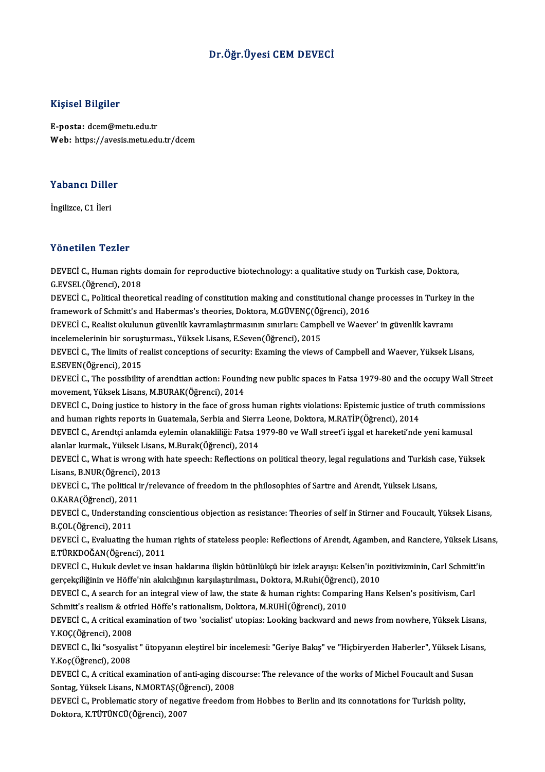### Dr.Öğr.Üyesi CEMDEVECİ

### Kişisel Bilgiler

E-posta: dcem@metu.edu.tr Web: https://avesis.metu.edu.tr/dcem

## Yabancı Diller<br>Yabancı Diller Y<mark>abancı Dille</mark><br>İngilizce, C1 İleri

# Yönetilen Tezler

Yönetilen Tezler<br>DEVECİ C., Human rights domain for reproductive biotechnology: a qualitative study on Turkish case, Doktora,<br>G. EVSEL (Öğrensi), 2019 TURUCHEN TURIST<br>DEVECI C., Human rights<br>G.EVSEL(Öğrenci), 2018<br>DEVECI C. Political theor DEVECİ C., Human rights domain for reproductive biotechnology: a qualitative study on Turkish case, Doktora,<br>G.EVSEL(Öğrenci), 2018<br>DEVECİ C., Political theoretical reading of constitution making and constitutional change

G.EVSEL(Öğrenci), 2018<br>DEVECİ C., Political theoretical reading of constitution making and constitutional change processes in Turkey in the<br>framework of Schmitt's and Habermas's theories, Doktora, M.GÜVENÇ(Öğrenci), 2016 DEVECİ C., Political theoretical reading of constitution making and constitutional change processes in Turkey i<br>framework of Schmitt's and Habermas's theories, Doktora, M.GÜVENÇ(Öğrenci), 2016<br>DEVECİ C., Realist okulunun g

framework of Schmitt's and Habermas's theories, Doktora, M.GÜVENÇ(Öğ<br>DEVECİ C., Realist okulunun güvenlik kavramlaştırmasının sınırları: Campl<br>incelemelerinin bir soruşturması., Yüksek Lisans, E.Seven(Öğrenci), 2015<br>DEVECİ DEVECİ C., Realist okulunun güvenlik kavramlaştırmasının sınırları: Campbell ve Waever' in güvenlik kavramı<br>incelemelerinin bir soruşturması., Yüksek Lisans, E.Seven(Öğrenci), 2015<br>DEVECİ C., The limits of realist concepti

incelemelerinin bir soruşturması., Yüksek Lisans, E.Seven(Öğrenci), 2015<br>DEVECİ C., The limits of realist conceptions of security: Examing the views of Campbell and Waever, Yüksek Lisans,<br>E.SEVEN(Öğrenci), 2015 DEVECİ C., The limits of realist conceptions of security: Examing the views of Campbell and Waever, Yüksek Lisans,<br>E.SEVEN(Öğrenci), 2015<br>DEVECİ C., The possibility of arendtian action: Founding new public spaces in Fatsa

movement, Yüksek Lisans, M.BURAK(Öğrenci), 2014 DEVECİ C., The possibility of arendtian action: Founding new public spaces in Fatsa 1979-80 and the occupy Wall Stree<br>movement, Yüksek Lisans, M.BURAK(Öğrenci), 2014<br>DEVECİ C., Doing justice to history in the face of gross

movement, Yüksek Lisans, M.BURAK(Öğrenci), 2014<br>DEVECİ C., Doing justice to history in the face of gross human rights violations: Epistemic justice of tr<br>and human rights reports in Guatemala, Serbia and Sierra Leone, Dokt DEVECİ C., Doing justice to history in the face of gross human rights violations: Epistemic justice of truth commission<br>and human rights reports in Guatemala, Serbia and Sierra Leone, Doktora, M.RATİP(Öğrenci), 2014<br>DEVECİ

and human rights reports in Guatemala, Serbia and Sierra<br>DEVECİ C., Arendtçi anlamda eylemin olanakliliği: Fatsa 1<br>alanlar kurmak., Yüksek Lisans, M.Burak(Öğrenci), 2014<br>DEVECİ C. What is ursans uith hata spessh. Baflastia DEVECİ C., Arendtçi anlamda eylemin olanakliliği: Fatsa 1979-80 ve Wall street'i işgal et hareketi'nde yeni kamusal<br>alanlar kurmak., Yüksek Lisans, M.Burak(Öğrenci), 2014<br>DEVECİ C., What is wrong with hate speech: Reflecti

alanlar kurmak., Yüksek Lisans<br>DEVECİ C., What is wrong with<br>Lisans, B.NUR(Öğrenci), 2013<br>DEVECİ C. The nolitical ir (rale DEVECİ C., What is wrong with hate speech: Reflections on political theory, legal regulations and Turkish<br>Lisans, B.NUR(Öğrenci), 2013<br>DEVECİ C., The political ir/relevance of freedom in the philosophies of Sartre and Aren

Lisans, B.NUR(Öğrenci), 2013<br>DEVECİ C., The political ir/relevance of freedom in the philosophies of Sartre and Arendt, Yüksek Lisans,<br>O.KARA(Öğrenci), 2011 DEVECİ C., The political ir/relevance of freedom in the philosophies of Sartre and Arendt, Yüksek Lisans,<br>O.KARA(Öğrenci), 2011<br>DEVECİ C., Understanding conscientious objection as resistance: Theories of self in Stirner an

O.KARA(Öğrenci), 201<br>DEVECİ C., Understand<br>B.ÇOL(Öğrenci), 2011<br>DEVECİ C. Evalustina t DEVECİ C., Understanding conscientious objection as resistance: Theories of self in Stirner and Foucault, Yüksek Lisans,<br>B.ÇOL(Öğrenci), 2011<br>DEVECİ C., Evaluating the human rights of stateless people: Reflections of Arend

B.ÇOL(Öğrenci), 2011<br>DEVECİ C., Evaluating the human rights of stateless people: Reflections of Arendt, Agamben, and Ranciere, Yüksek Lisans,<br>E.TÜRKDOĞAN(Öğrenci), 2011 DEVECİ C., Evaluating the human rights of stateless people: Reflections of Arendt, Agamben, and Ranciere, Yüksek Lisa<br>E.TÜRKDOĞAN(Öğrenci), 2011<br>DEVECİ C., Hukuk devlet ve insan haklarına ilişkin bütünlükçü bir izlek arayı

E.TÜRKDOĞAN(Öğrenci), 2011<br>DEVECİ C., Hukuk devlet ve insan haklarına ilişkin bütünlükçü bir izlek arayışı: Kelsen'in po<br>gerçekçiliğinin ve Höffe'nin akılcılığının karşılaştırılması., Doktora, M.Ruhi(Öğrenci), 2010<br>DEVECİ DEVECİ C., Hukuk devlet ve insan haklarına ilişkin bütünlükçü bir izlek arayışı: Kelsen'in pozitivizminin, Carl Schmitt<br>gerçekçiliğinin ve Höffe'nin akılcılığının karşılaştırılması., Doktora, M.Ruhi(Öğrenci), 2010<br>DEVECİ C

gerçekçiliğinin ve Höffe'nin akılcılığının karşılaştırılması., Doktora, M.Ruhi(Öğrenci), 2010<br>DEVECİ C., A search for an integral view of law, the state & human rights: Comparing Hans Kelsen's positivism, Carl<br>Schmitt's re DEVECİ C., A search for an integral view of law, the state & human rights: Comparing Hans Kelsen's positivism, Carl Schmitt's realism & otfried Höffe's rationalism, Doktora, M.RUHİ(Öğrenci), 2010<br>DEVECİ C., A critical exam Schmitt's realism & otfried Höffe's rationalism, Doktora, M.RUHİ(Öğrenci), 2010

DEVECİ C., A critical examination of two 'socialist' utopias: Looking backward and news from nowhere, Yüksek Lisans,<br>Y.KOÇ(Öğrenci), 2008<br>DEVECİ C., İki "sosyalist " ütopyanın eleştirel bir incelemesi: "Geriye Bakış" ve "H

Y.KOÇ(Öğrenci), 2008<br>DEVECİ C., İki "sosyalis<br>Y.Koç(Öğrenci), 2008<br>DEVECİ C. A sritisel ev DEVECİ C., İki "sosyalist " ütopyanın eleştirel bir incelemesi: "Geriye Bakış" ve "Hiçbiryerden Haberler", Yüksek Lisa<br>Y.Koç(Öğrenci), 2008<br>DEVECİ C., A critical examination of anti-aging discourse: The relevance of the wo

Y.Koç(Öğrenci), 2008<br>DEVECİ C., A critical examination of anti-aging discourse: The relevance of the works of Michel Foucault and Susan<br>Sontag, Yüksek Lisans, N.MORTAŞ(Öğrenci), 2008 DEVECİ C., A critical examination of anti-aging discourse: The relevance of the works of Michel Foucault and Susa<br>Sontag, Yüksek Lisans, N.MORTAŞ(Öğrenci), 2008<br>DEVECİ C., Problematic story of negative freedom from Hobbes

Sontag, Yüksek Lisans, N.MORTAŞ(Öğ<br>DEVECİ C., Problematic story of nega<br>Doktora, K.TÜTÜNCÜ(Öğrenci), 2007